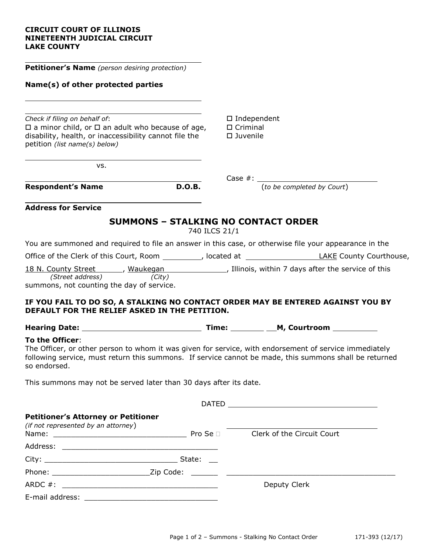## **CIRCUIT COURT OF ILLINOIS NINETEENTH JUDICIAL CIRCUIT LAKE COUNTY**

| <b>Petitioner's Name</b> (person desiring protection)<br>Name(s) of other protected parties<br>Check if filing on behalf of:<br>$\square$ Independent<br>$\Box$ a minor child, or $\Box$ an adult who because of age,<br>$\Box$ Criminal<br>disability, health, or inaccessibility cannot file the<br>□ Juvenile<br>petition (list name(s) below)<br>VS.<br>$Case  #: __________$<br>(to be completed by Court)<br><b>D.O.B.</b><br><b>Respondent's Name</b><br><b>Address for Service</b><br><b>SUMMONS - STALKING NO CONTACT ORDER</b><br>740 ILCS 21/1<br>You are summoned and required to file an answer in this case, or otherwise file your appearance in the |  |
|---------------------------------------------------------------------------------------------------------------------------------------------------------------------------------------------------------------------------------------------------------------------------------------------------------------------------------------------------------------------------------------------------------------------------------------------------------------------------------------------------------------------------------------------------------------------------------------------------------------------------------------------------------------------|--|
|                                                                                                                                                                                                                                                                                                                                                                                                                                                                                                                                                                                                                                                                     |  |
|                                                                                                                                                                                                                                                                                                                                                                                                                                                                                                                                                                                                                                                                     |  |
|                                                                                                                                                                                                                                                                                                                                                                                                                                                                                                                                                                                                                                                                     |  |
|                                                                                                                                                                                                                                                                                                                                                                                                                                                                                                                                                                                                                                                                     |  |
|                                                                                                                                                                                                                                                                                                                                                                                                                                                                                                                                                                                                                                                                     |  |
|                                                                                                                                                                                                                                                                                                                                                                                                                                                                                                                                                                                                                                                                     |  |
|                                                                                                                                                                                                                                                                                                                                                                                                                                                                                                                                                                                                                                                                     |  |
|                                                                                                                                                                                                                                                                                                                                                                                                                                                                                                                                                                                                                                                                     |  |
|                                                                                                                                                                                                                                                                                                                                                                                                                                                                                                                                                                                                                                                                     |  |
| 18 N. County Street ______, Waukegan _______________, Illinois, within 7 days after the service of this<br>(Street address)<br>(City)<br>summons, not counting the day of service.                                                                                                                                                                                                                                                                                                                                                                                                                                                                                  |  |
| IF YOU FAIL TO DO SO, A STALKING NO CONTACT ORDER MAY BE ENTERED AGAINST YOU BY<br>DEFAULT FOR THE RELIEF ASKED IN THE PETITION.                                                                                                                                                                                                                                                                                                                                                                                                                                                                                                                                    |  |
|                                                                                                                                                                                                                                                                                                                                                                                                                                                                                                                                                                                                                                                                     |  |
| To the Officer:<br>The Officer, or other person to whom it was given for service, with endorsement of service immediately<br>following service, must return this summons. If service cannot be made, this summons shall be returned<br>so endorsed.                                                                                                                                                                                                                                                                                                                                                                                                                 |  |
|                                                                                                                                                                                                                                                                                                                                                                                                                                                                                                                                                                                                                                                                     |  |
| This summons may not be served later than 30 days after its date.                                                                                                                                                                                                                                                                                                                                                                                                                                                                                                                                                                                                   |  |
|                                                                                                                                                                                                                                                                                                                                                                                                                                                                                                                                                                                                                                                                     |  |
| <b>Petitioner's Attorney or Petitioner</b><br>(if not represented by an attorney)<br>Name: <u>___________________________________</u> Pro Se □ Clerk of the Circuit Court                                                                                                                                                                                                                                                                                                                                                                                                                                                                                           |  |
|                                                                                                                                                                                                                                                                                                                                                                                                                                                                                                                                                                                                                                                                     |  |
|                                                                                                                                                                                                                                                                                                                                                                                                                                                                                                                                                                                                                                                                     |  |
|                                                                                                                                                                                                                                                                                                                                                                                                                                                                                                                                                                                                                                                                     |  |
| Deputy Clerk                                                                                                                                                                                                                                                                                                                                                                                                                                                                                                                                                                                                                                                        |  |